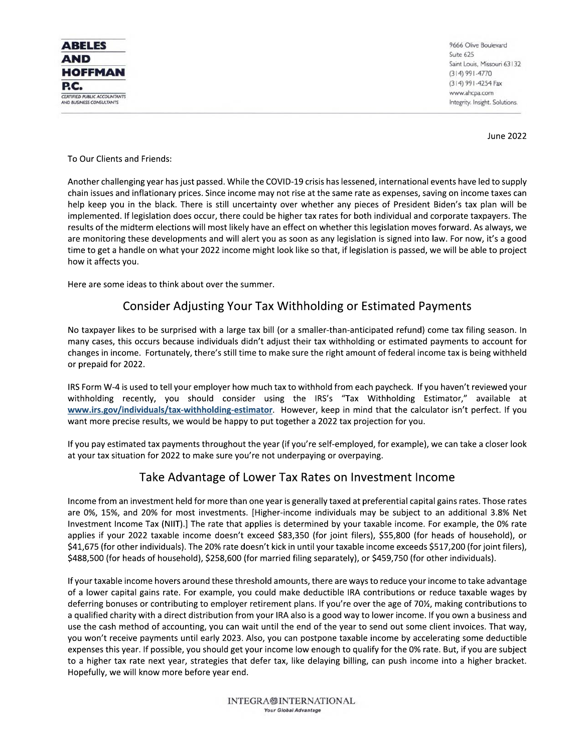

9666 Olive Boulevard Suite 625 Saint Louis, Missouri 63132  $(314)991 - 4770$ (314) 991-4254 Fax www.ahcpa.com Integrity. Insight. Solutions.

**June 2022** 

#### To Our Clients and Friends:

Another challenging year has just passed. While the COVID-19 crisis has lessened, international events have led to supply chain issues and inflationary prices. Since income may not rise at the same rate as expenses, saving on income taxes can help keep you in the black. There is still uncertainty over whether any pieces of President Biden's tax plan will be implemented. If legislation does occur, there could be higher tax rates for both individual and corporate taxpayers. The results of the midterm elections will most likely have an effect on whether this legislation moves forward. As always, we are monitoring these developments and will alert you as soon as any legislation is signed into law. For now, it's a good time to get a handle on what your 2022 income might look like so that, if legislation is passed, we will be able to project how it affects you.

Here are some ideas to think about over the summer.

#### Consider Adjusting Your Tax Withholding or Estimated Payments

No taxpayer likes to be surprised with a large tax bill (or a smaller-than-anticipated refund) come tax filing season. In many cases, this occurs because individuals didn't adjust their tax withholding or estimated payments to account for changes in income. Fortunately, there's still time to make sure the right amount of federal income tax is being withheld or prepaid for 2022.

IRS Form W-4 is used to tell your employer how much tax to withhold from each paycheck. If you haven't reviewed your withholding recently, you should consider using the IRS's "Tax Withholding Estimator," available at www.irs.gov/individuals/tax-withholding-estimator. However, keep in mind that the calculator isn't perfect. If you want more precise results, we would be happy to put together a 2022 tax projection for you.

If you pay estimated tax payments throughout the year (if you're self-employed, for example), we can take a closer look at your tax situation for 2022 to make sure you're not underpaying or overpaying.

## Take Advantage of Lower Tax Rates on Investment Income

Income from an investment held for more than one year is generally taxed at preferential capital gains rates. Those rates are 0%, 15%, and 20% for most investments. [Higher-income individuals may be subject to an additional 3.8% Net Investment Income Tax (NIIT).] The rate that applies is determined by your taxable income. For example, the 0% rate applies if your 2022 taxable income doesn't exceed \$83,350 (for joint filers), \$55,800 (for heads of household), or \$41,675 (for other individuals). The 20% rate doesn't kick in until your taxable income exceeds \$517,200 (for joint filers), \$488,500 (for heads of household), \$258,600 (for married filing separately), or \$459,750 (for other individuals).

If your taxable income hovers around these threshold amounts, there are ways to reduce your income to take advantage of a lower capital gains rate. For example, you could make deductible IRA contributions or reduce taxable wages by deferring bonuses or contributing to employer retirement plans. If you're over the age of 70½, making contributions to a qualified charity with a direct distribution from your IRA also is a good way to lower income. If you own a business and use the cash method of accounting, you can wait until the end of the year to send out some client invoices. That way, you won't receive payments until early 2023. Also, you can postpone taxable income by accelerating some deductible expenses this year. If possible, you should get your income low enough to qualify for the 0% rate. But, if you are subject to a higher tax rate next year, strategies that defer tax, like delaying billing, can push income into a higher bracket. Hopefully, we will know more before year end.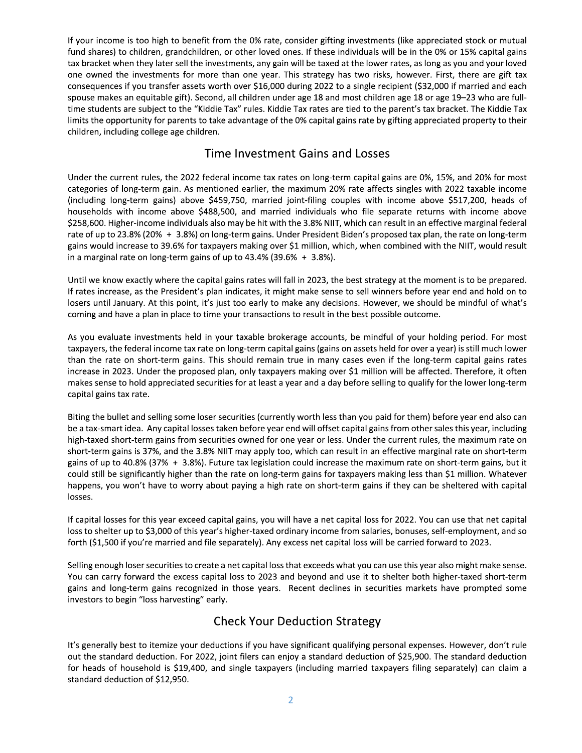If your income is too high to benefit from the 0% rate, consider gifting investments (like appreciated stock or mutual fund shares) to children, grandchildren, or other loved ones. If these individuals will be in the 0% or 15% capital gains tax bracket when they later sell the investments, any gain will be taxed at the lower rates, as long as you and your loved one owned the investments for more than one year. This strategy has two risks, however. First, there are gift tax consequences if you transfer assets worth over \$16,000 during 2022 to a single recipient (\$32,000 if married and each spouse makes an equitable gift). Second, all children under age 18 and most children age 18 or age 19–23 who are fulltime students are subject to the "Kiddie Tax" rules. Kiddie Tax rates are tied to the parent's tax bracket. The Kiddie Tax limits the opportunity for parents to take advantage of the 0% capital gains rate by gifting appreciated property to their children, including college age children.

#### Time Investment Gains and Losses

Under the current rules, the 2022 federal income tax rates on long-term capital gains are 0%, 15%, and 20% for most categories of long-term gain. As mentioned earlier, the maximum 20% rate affects singles with 2022 taxable income (including long-term gains) above \$459,750, married joint-filing couples with income above \$517,200, heads of households with income above \$488,500, and married individuals who file separate returns with income above \$258,600. Higher-income individuals also may be hit with the 3.8% NIIT, which can result in an effective marginal federal rate of up to 23.8% (20% + 3.8%) on long-term gains. Under President Biden's proposed tax plan, the rate on long-term gains would increase to 39.6% for taxpayers making over \$1 million, which, when combined with the NIIT, would result in a marginal rate on long-term gains of up to  $43.4\%$  (39.6% + 3.8%).

Until we know exactly where the capital gains rates will fall in 2023, the best strategy at the moment is to be prepared. If rates increase, as the President's plan indicates, it might make sense to sell winners before year end and hold on to losers until January. At this point, it's just too early to make any decisions. However, we should be mindful of what's coming and have a plan in place to time your transactions to result in the best possible outcome.

As you evaluate investments held in your taxable brokerage accounts, be mindful of your holding period. For most taxpayers, the federal income tax rate on long-term capital gains (gains on assets held for over a year) is still much lower than the rate on short-term gains. This should remain true in many cases even if the long-term capital gains rates increase in 2023. Under the proposed plan, only taxpayers making over \$1 million will be affected. Therefore, it often makes sense to hold appreciated securities for at least a year and a day before selling to qualify for the lower long-term capital gains tax rate.

Biting the bullet and selling some loser securities (currently worth less than you paid for them) before year end also can be a tax-smart idea. Any capital losses taken before year end will offset capital gains from other sales this year, including high-taxed short-term gains from securities owned for one year or less. Under the current rules, the maximum rate on short-term gains is 37%, and the 3.8% NIIT may apply too, which can result in an effective marginal rate on short-term gains of up to 40.8% (37% + 3.8%). Future tax legislation could increase the maximum rate on short-term gains, but it could still be significantly higher than the rate on long-term gains for taxpayers making less than \$1 million. Whatever happens, you won't have to worry about paying a high rate on short-term gains if they can be sheltered with capital losses.

If capital losses for this year exceed capital gains, you will have a net capital loss for 2022. You can use that net capital loss to shelter up to \$3,000 of this year's higher-taxed ordinary income from salaries, bonuses, self-employment, and so forth (\$1,500 if you're married and file separately). Any excess net capital loss will be carried forward to 2023.

Selling enough loser securities to create a net capital loss that exceeds what you can use this year also might make sense. You can carry forward the excess capital loss to 2023 and beyond and use it to shelter both higher-taxed short-term gains and long-term gains recognized in those years. Recent declines in securities markets have prompted some investors to begin "loss harvesting" early.

## **Check Your Deduction Strategy**

It's generally best to itemize your deductions if you have significant qualifying personal expenses. However, don't rule out the standard deduction. For 2022, joint filers can enjoy a standard deduction of \$25,900. The standard deduction for heads of household is \$19,400, and single taxpayers (including married taxpayers filing separately) can claim a standard deduction of \$12,950.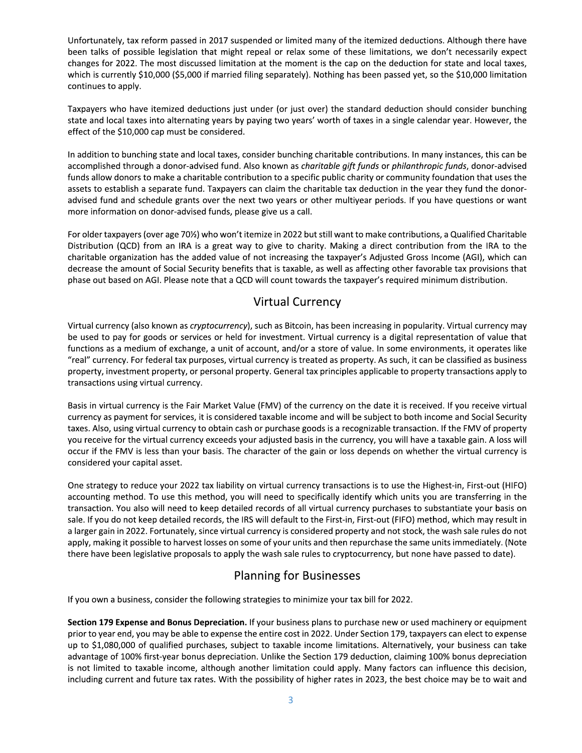Unfortunately, tax reform passed in 2017 suspended or limited many of the itemized deductions. Although there have been talks of possible legislation that might repeal or relax some of these limitations, we don't necessarily expect changes for 2022. The most discussed limitation at the moment is the cap on the deduction for state and local taxes, which is currently \$10,000 (\$5,000 if married filing separately). Nothing has been passed yet, so the \$10,000 limitation continues to apply.

Taxpayers who have itemized deductions just under (or just over) the standard deduction should consider bunching state and local taxes into alternating years by paying two years' worth of taxes in a single calendar year. However, the effect of the \$10,000 cap must be considered.

In addition to bunching state and local taxes, consider bunching charitable contributions. In many instances, this can be accomplished through a donor-advised fund. Also known as charitable gift funds or philanthropic funds, donor-advised funds allow donors to make a charitable contribution to a specific public charity or community foundation that uses the assets to establish a separate fund. Taxpayers can claim the charitable tax deduction in the year they fund the donoradvised fund and schedule grants over the next two years or other multiyear periods. If you have questions or want more information on donor-advised funds, please give us a call.

For older taxpayers (over age 70%) who won't itemize in 2022 but still want to make contributions, a Qualified Charitable Distribution (QCD) from an IRA is a great way to give to charity. Making a direct contribution from the IRA to the charitable organization has the added value of not increasing the taxpayer's Adjusted Gross Income (AGI), which can decrease the amount of Social Security benefits that is taxable, as well as affecting other favorable tax provisions that phase out based on AGI. Please note that a QCD will count towards the taxpayer's required minimum distribution.

# **Virtual Currency**

Virtual currency (also known as *cryptocurrency*), such as Bitcoin, has been increasing in popularity. Virtual currency may be used to pay for goods or services or held for investment. Virtual currency is a digital representation of value that functions as a medium of exchange, a unit of account, and/or a store of value. In some environments, it operates like "real" currency. For federal tax purposes, virtual currency is treated as property. As such, it can be classified as business property, investment property, or personal property. General tax principles applicable to property transactions apply to transactions using virtual currency.

Basis in virtual currency is the Fair Market Value (FMV) of the currency on the date it is received. If you receive virtual currency as payment for services, it is considered taxable income and will be subject to both income and Social Security taxes. Also, using virtual currency to obtain cash or purchase goods is a recognizable transaction. If the FMV of property you receive for the virtual currency exceeds your adjusted basis in the currency, you will have a taxable gain. A loss will occur if the FMV is less than your basis. The character of the gain or loss depends on whether the virtual currency is considered your capital asset.

One strategy to reduce your 2022 tax liability on virtual currency transactions is to use the Highest-in, First-out (HIFO) accounting method. To use this method, you will need to specifically identify which units you are transferring in the transaction. You also will need to keep detailed records of all virtual currency purchases to substantiate your basis on sale. If you do not keep detailed records, the IRS will default to the First-in, First-out (FIFO) method, which may result in a larger gain in 2022. Fortunately, since virtual currency is considered property and not stock, the wash sale rules do not apply, making it possible to harvest losses on some of your units and then repurchase the same units immediately. (Note there have been legislative proposals to apply the wash sale rules to cryptocurrency, but none have passed to date).

## **Planning for Businesses**

If you own a business, consider the following strategies to minimize your tax bill for 2022.

Section 179 Expense and Bonus Depreciation. If your business plans to purchase new or used machinery or equipment prior to year end, you may be able to expense the entire cost in 2022. Under Section 179, taxpayers can elect to expense up to \$1,080,000 of qualified purchases, subject to taxable income limitations. Alternatively, your business can take advantage of 100% first-year bonus depreciation. Unlike the Section 179 deduction, claiming 100% bonus depreciation is not limited to taxable income, although another limitation could apply. Many factors can influence this decision, including current and future tax rates. With the possibility of higher rates in 2023, the best choice may be to wait and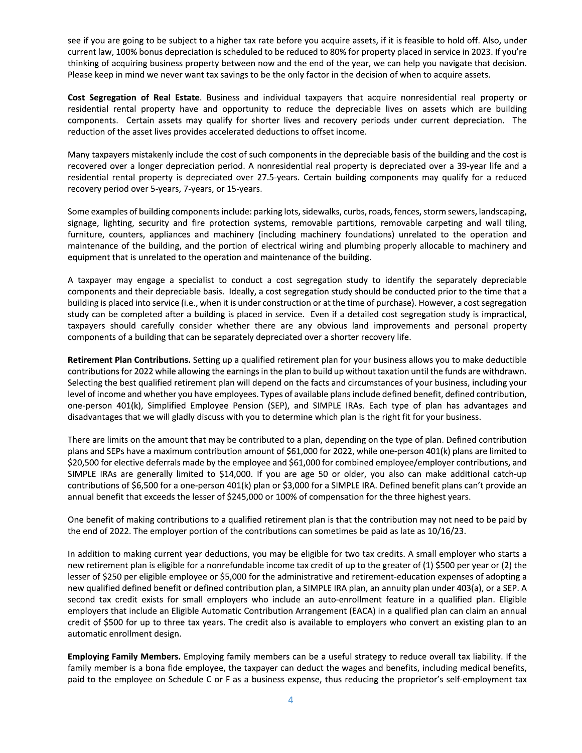see if you are going to be subject to a higher tax rate before you acquire assets, if it is feasible to hold off. Also, under current law, 100% bonus depreciation is scheduled to be reduced to 80% for property placed in service in 2023. If you're thinking of acquiring business property between now and the end of the year, we can help you navigate that decision. Please keep in mind we never want tax savings to be the only factor in the decision of when to acquire assets.

Cost Segregation of Real Estate. Business and individual taxpayers that acquire nonresidential real property or residential rental property have and opportunity to reduce the depreciable lives on assets which are building components. Certain assets may qualify for shorter lives and recovery periods under current depreciation. The reduction of the asset lives provides accelerated deductions to offset income.

Many taxpayers mistakenly include the cost of such components in the depreciable basis of the building and the cost is recovered over a longer depreciation period. A nonresidential real property is depreciated over a 39-year life and a residential rental property is depreciated over 27.5-years. Certain building components may qualify for a reduced recovery period over 5-years, 7-years, or 15-years.

Some examples of building components include: parking lots, sidewalks, curbs, roads, fences, storm sewers, landscaping, signage, lighting, security and fire protection systems, removable partitions, removable carpeting and wall tiling, furniture, counters, appliances and machinery (including machinery foundations) unrelated to the operation and maintenance of the building, and the portion of electrical wiring and plumbing properly allocable to machinery and equipment that is unrelated to the operation and maintenance of the building.

A taxpayer may engage a specialist to conduct a cost segregation study to identify the separately depreciable components and their depreciable basis. Ideally, a cost segregation study should be conducted prior to the time that a building is placed into service (i.e., when it is under construction or at the time of purchase). However, a cost segregation study can be completed after a building is placed in service. Even if a detailed cost segregation study is impractical, taxpayers should carefully consider whether there are any obvious land improvements and personal property components of a building that can be separately depreciated over a shorter recovery life.

Retirement Plan Contributions. Setting up a qualified retirement plan for your business allows you to make deductible contributions for 2022 while allowing the earnings in the plan to build up without taxation until the funds are withdrawn. Selecting the best qualified retirement plan will depend on the facts and circumstances of your business, including your level of income and whether you have employees. Types of available plans include defined benefit, defined contribution, one-person 401(k), Simplified Employee Pension (SEP), and SIMPLE IRAs. Each type of plan has advantages and disadvantages that we will gladly discuss with you to determine which plan is the right fit for your business.

There are limits on the amount that may be contributed to a plan, depending on the type of plan. Defined contribution plans and SEPs have a maximum contribution amount of \$61,000 for 2022, while one-person 401(k) plans are limited to \$20,500 for elective deferrals made by the employee and \$61,000 for combined employee/employer contributions, and SIMPLE IRAs are generally limited to \$14,000. If you are age 50 or older, you also can make additional catch-up contributions of \$6,500 for a one-person 401(k) plan or \$3,000 for a SIMPLE IRA. Defined benefit plans can't provide an annual benefit that exceeds the lesser of \$245,000 or 100% of compensation for the three highest years.

One benefit of making contributions to a qualified retirement plan is that the contribution may not need to be paid by the end of 2022. The employer portion of the contributions can sometimes be paid as late as 10/16/23.

In addition to making current year deductions, you may be eligible for two tax credits. A small employer who starts a new retirement plan is eligible for a nonrefundable income tax credit of up to the greater of (1) \$500 per year or (2) the lesser of \$250 per eligible employee or \$5,000 for the administrative and retirement-education expenses of adopting a new qualified defined benefit or defined contribution plan, a SIMPLE IRA plan, an annuity plan under 403(a), or a SEP. A second tax credit exists for small employers who include an auto-enrollment feature in a qualified plan. Eligible employers that include an Eligible Automatic Contribution Arrangement (EACA) in a qualified plan can claim an annual credit of \$500 for up to three tax years. The credit also is available to employers who convert an existing plan to an automatic enrollment design.

Employing Family Members. Employing family members can be a useful strategy to reduce overall tax liability. If the family member is a bona fide employee, the taxpayer can deduct the wages and benefits, including medical benefits, paid to the employee on Schedule C or F as a business expense, thus reducing the proprietor's self-employment tax